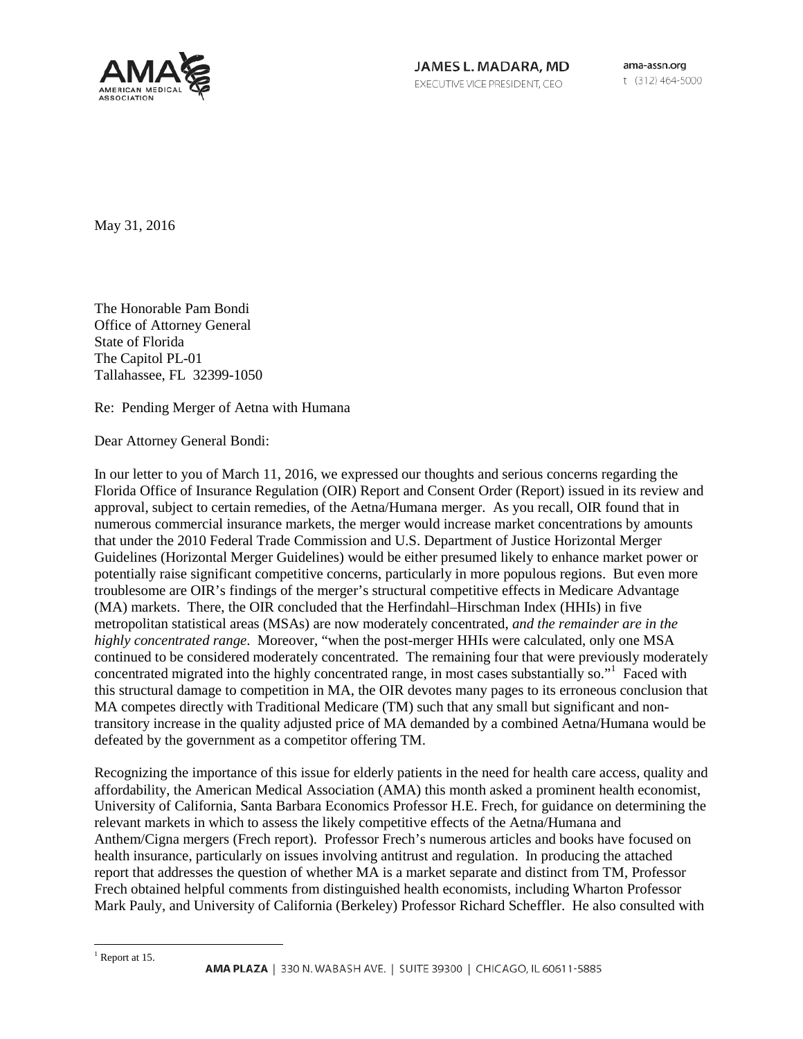

ama-assn.org t (312) 464-5000

May 31, 2016

The Honorable Pam Bondi Office of Attorney General State of Florida The Capitol PL-01 Tallahassee, FL 32399-1050

Re: Pending Merger of Aetna with Humana

Dear Attorney General Bondi:

In our letter to you of March 11, 2016, we expressed our thoughts and serious concerns regarding the Florida Office of Insurance Regulation (OIR) Report and Consent Order (Report) issued in its review and approval, subject to certain remedies, of the Aetna/Humana merger. As you recall, OIR found that in numerous commercial insurance markets, the merger would increase market concentrations by amounts that under the 2010 Federal Trade Commission and U.S. Department of Justice Horizontal Merger Guidelines (Horizontal Merger Guidelines) would be either presumed likely to enhance market power or potentially raise significant competitive concerns, particularly in more populous regions. But even more troublesome are OIR's findings of the merger's structural competitive effects in Medicare Advantage (MA) markets. There, the OIR concluded that the Herfindahl–Hirschman Index (HHIs) in five metropolitan statistical areas (MSAs) are now moderately concentrated, *and the remainder are in the highly concentrated range*. Moreover, "when the post-merger HHIs were calculated, only one MSA continued to be considered moderately concentrated. The remaining four that were previously moderately concentrated migrated into the highly concentrated range, in most cases substantially so."<sup>[1](#page-0-0)</sup> Faced with this structural damage to competition in MA, the OIR devotes many pages to its erroneous conclusion that MA competes directly with Traditional Medicare (TM) such that any small but significant and nontransitory increase in the quality adjusted price of MA demanded by a combined Aetna/Humana would be defeated by the government as a competitor offering TM.

Recognizing the importance of this issue for elderly patients in the need for health care access, quality and affordability, the American Medical Association (AMA) this month asked a prominent health economist, University of California, Santa Barbara Economics Professor H.E. Frech, for guidance on determining the relevant markets in which to assess the likely competitive effects of the Aetna/Humana and Anthem/Cigna mergers (Frech report). Professor Frech's numerous articles and books have focused on health insurance, particularly on issues involving antitrust and regulation. In producing the attached report that addresses the question of whether MA is a market separate and distinct from TM, Professor Frech obtained helpful comments from distinguished health economists, including Wharton Professor Mark Pauly, and University of California (Berkeley) Professor Richard Scheffler. He also consulted with

<span id="page-0-0"></span> $<sup>1</sup>$  Report at 15.</sup>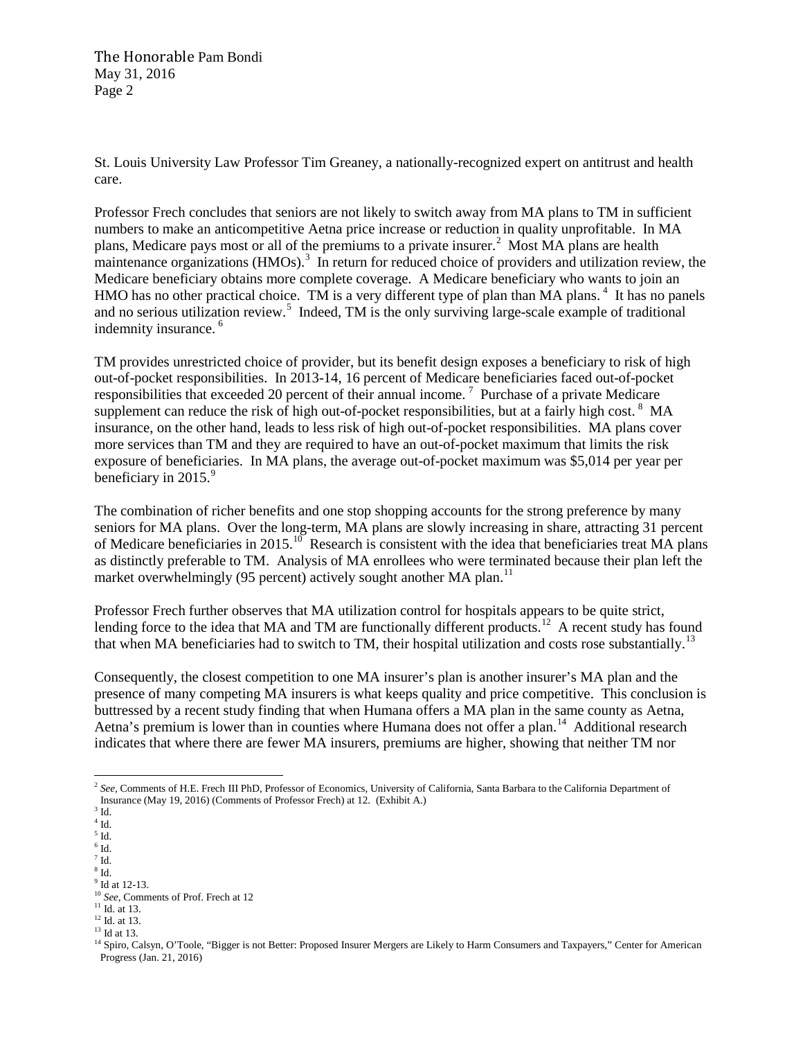The Honorable Pam Bondi May 31, 2016 Page 2

St. Louis University Law Professor Tim Greaney, a nationally-recognized expert on antitrust and health care.

Professor Frech concludes that seniors are not likely to switch away from MA plans to TM in sufficient numbers to make an anticompetitive Aetna price increase or reduction in quality unprofitable. In MA plans, Medicare pays most or all of the premiums to a private insurer.<sup>[2](#page-1-0)</sup> Most MA plans are health maintenance organizations (HMOs).<sup>[3](#page-1-1)</sup> In return for reduced choice of providers and utilization review, the Medicare beneficiary obtains more complete coverage. A Medicare beneficiary who wants to join an HMO has no other practical choice. TM is a very different type of plan than MA plans.<sup>[4](#page-1-2)</sup> It has no panels and no serious utilization review.<sup>[5](#page-1-3)</sup> Indeed, TM is the only surviving large-scale example of traditional indemnity insurance.<sup>[6](#page-1-4)</sup>

TM provides unrestricted choice of provider, but its benefit design exposes a beneficiary to risk of high out-of-pocket responsibilities. In 2013-14, 16 percent of Medicare beneficiaries faced out-of-pocket responsibilities that exceeded 20 percent of their annual income.<sup>[7](#page-1-5)</sup> Purchase of a private Medicare supplement can reduce the risk of high out-of-pocket responsibilities, but at a fairly high cost.  $8\,$  $8\,$  MA insurance, on the other hand, leads to less risk of high out-of-pocket responsibilities. MA plans cover more services than TM and they are required to have an out-of-pocket maximum that limits the risk exposure of beneficiaries. In MA plans, the average out-of-pocket maximum was \$5,014 per year per beneficiary in  $2015.<sup>9</sup>$  $2015.<sup>9</sup>$  $2015.<sup>9</sup>$ 

The combination of richer benefits and one stop shopping accounts for the strong preference by many seniors for MA plans. Over the long-term, MA plans are slowly increasing in share, attracting 31 percent of Medicare beneficiaries in 2015.<sup>10</sup> Research is consistent with the idea that beneficiaries treat MA plans as distinctly preferable to TM. Analysis of MA enrollees who were terminated because their plan left the market overwhelmingly (95 percent) actively sought another MA plan.<sup>[11](#page-1-9)</sup>

Professor Frech further observes that MA utilization control for hospitals appears to be quite strict, lending force to the idea that MA and TM are functionally different products.<sup>[12](#page-1-10)</sup> A recent study has found that when MA beneficiaries had to switch to TM, their hospital utilization and costs rose substantially.<sup>[13](#page-1-11)</sup>

Consequently, the closest competition to one MA insurer's plan is another insurer's MA plan and the presence of many competing MA insurers is what keeps quality and price competitive. This conclusion is buttressed by a recent study finding that when Humana offers a MA plan in the same county as Aetna, Aetna's premium is lower than in counties where Humana does not offer a plan.<sup>[14](#page-1-12)</sup> Additional research indicates that where there are fewer MA insurers, premiums are higher, showing that neither TM nor

<span id="page-1-0"></span><sup>&</sup>lt;sup>2</sup> See, Comments of H.E. Frech III PhD, Professor of Economics, University of California, Santa Barbara to the California Department of Insurance (May 19, 2016) (Comments of Professor Frech) at 12. (Exhibit A.)  $3$  Id.

<span id="page-1-1"></span> $^4$  Id.

<span id="page-1-4"></span><span id="page-1-3"></span><span id="page-1-2"></span> $^5$  Id.  $^6$  Id.

<span id="page-1-5"></span> $7$  Id.

<span id="page-1-6"></span> $\frac{8}{9}$  Id.<br> $\frac{1}{2}$  Id at 12-13.

<span id="page-1-8"></span><span id="page-1-7"></span><sup>&</sup>lt;sup>10</sup> *See*, Comments of Prof. Frech at 12<sup>11</sup> Id. at 13.

<span id="page-1-11"></span><span id="page-1-10"></span><span id="page-1-9"></span> $^{12}$  Id. at 13.<br> $^{13}$  Id at 13.

<span id="page-1-12"></span><sup>&</sup>lt;sup>14</sup> Spiro, Calsyn, O'Toole, "Bigger is not Better: Proposed Insurer Mergers are Likely to Harm Consumers and Taxpayers," Center for American Progress (Jan. 21, 2016)